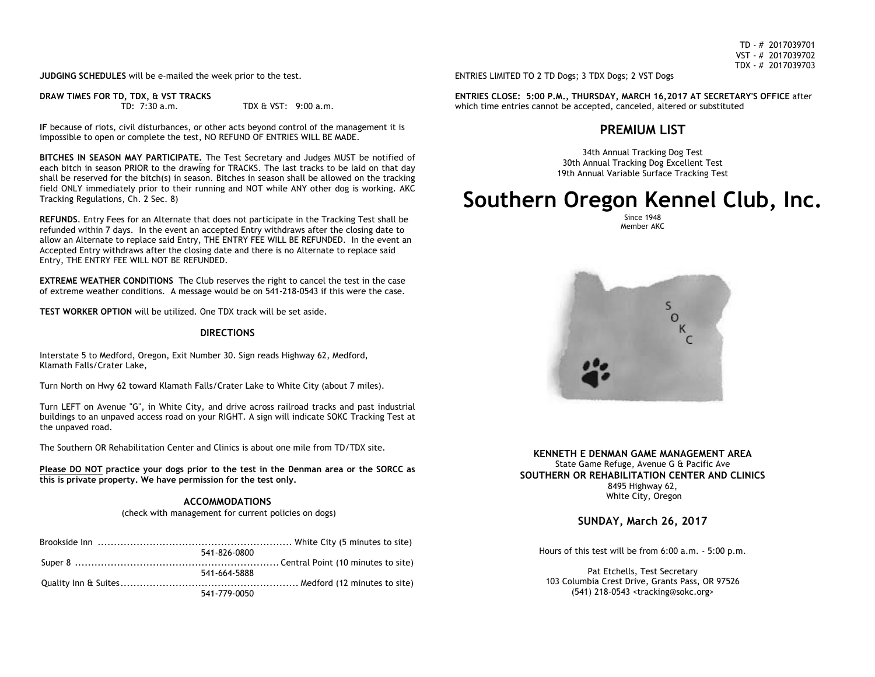TD - # 2017039701 VST - # 2017039702 TDX - # 2017039703

**JUDGING SCHEDULES** will be e-mailed the week prior to the test.

**DRAW TIMES FOR TD, TDX, & VST TRACKS**<br>TD: 7:30 a.m.

TDX  $6$  VST: 9:00 a.m.

**IF** because of riots, civil disturbances, or other acts beyond control of the management it is impossible to open or complete the test, NO REFUND OF ENTRIES WILL BE MADE.

**BITCHES IN SEASON MAY PARTICIPATE.** The Test Secretary and Judges MUST be notified of each bitch in season PRIOR to the drawing for TRACKS. The last tracks to be laid on that day shall be reserved for the bitch(s) in season. Bitches in season shall be allowed on the tracking field ONLY immediately prior to their running and NOT while ANY other dog is working. AKC Tracking Regulations, Ch. 2 Sec. 8)

**REFUNDS**. Entry Fees for an Alternate that does not participate in the Tracking Test shall be refunded within 7 days. In the event an accepted Entry withdraws after the closing date to allow an Alternate to replace said Entry, THE ENTRY FEE WILL BE REFUNDED. In the event an Accepted Entry withdraws after the closing date and there is no Alternate to replace said Entry, THE ENTRY FEE WILL NOT BE REFUNDED.

**EXTREME WEATHER CONDITIONS** The Club reserves the right to cancel the test in the case of extreme weather conditions. A message would be on 541-218-0543 if this were the case.

**TEST WORKER OPTION** will be utilized. One TDX track will be set aside.

#### **DIRECTIONS**

Interstate 5 to Medford, Oregon, Exit Number 30. Sign reads Highway 62, Medford, Klamath Falls/Crater Lake,

Turn North on Hwy 62 toward Klamath Falls/Crater Lake to White City (about 7 miles).

Turn LEFT on Avenue "G", in White City, and drive across railroad tracks and past industrial buildings to an unpaved access road on your RIGHT. A sign will indicate SOKC Tracking Test at the unpaved road.

The Southern OR Rehabilitation Center and Clinics is about one mile from TD/TDX site.

**Please DO NOT practice your dogs prior to the test in the Denman area or the SORCC as this is private property. We have permission for the test only.**

#### **ACCOMMODATIONS**

(check with management for current policies on dogs)

| 541-826-0800 |
|--------------|
|              |
| 541-664-5888 |
|              |
| 541-779-0050 |

ENTRIES LIMITED TO 2 TD Dogs; 3 TDX Dogs; 2 VST Dogs

**ENTRIES CLOSE: 5:00 P.M., THURSDAY, MARCH 16,2017 AT SECRETARY'S OFFICE** after which time entries cannot be accepted, canceled, altered or substituted

# **PREMIUM LIST**

34th Annual Tracking Dog Test 30th Annual Tracking Dog Excellent Test 19th Annual Variable Surface Tracking Test

# **Southern Oregon Kennel Club, Inc.**

Since 1948 Member AKC



**KENNETH E DENMAN GAME MANAGEMENT AREA** State Game Refuge, Avenue G & Pacific Ave **SOUTHERN OR REHABILITATION CENTER AND CLINICS** 8495 Highway 62, White City, Oregon

**SUNDAY, March 26, 2017**

Hours of this test will be from 6:00 a.m. - 5:00 p.m.

Pat Etchells, Test Secretary 103 Columbia Crest Drive, Grants Pass, OR 97526 (541) 218-0543 <tracking@sokc.org>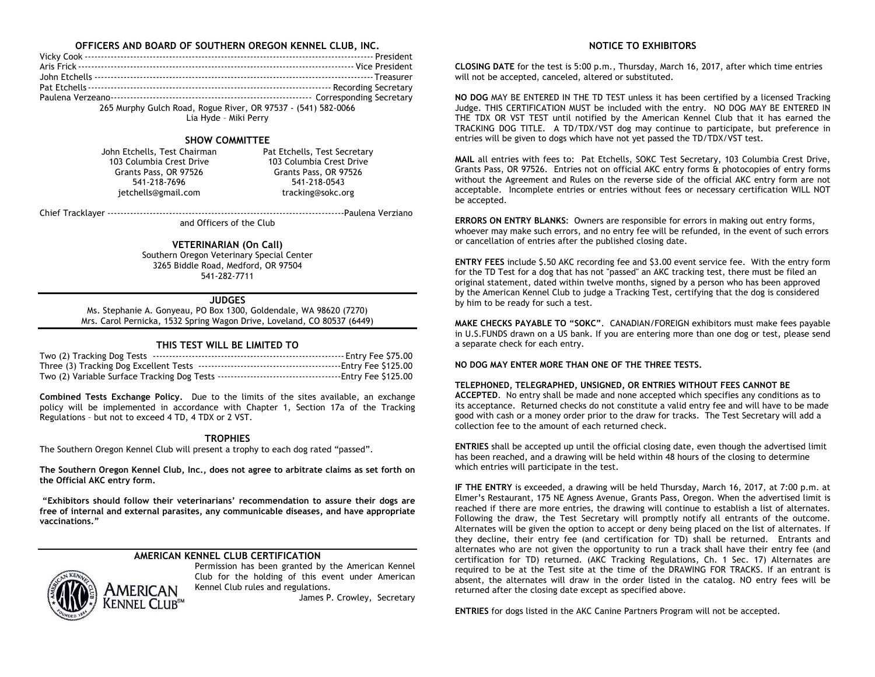# **OFFICERS AND BOARD OF SOUTHERN OREGON KENNEL CLUB, INC.**

| 265 Murphy Gulch Road, Rogue River, OR 97537 - (541) 582-0066 |  |
|---------------------------------------------------------------|--|
| Lia Hyde - Miki Perry                                         |  |

## **SHOW COMMITTEE**

John Etchells, Test Chairman Pat Etchells, Test Secretary<br>103 Columbia Crest Drive 103 Columbia Crest Drive 103 Columbia Crest Drive 103 Columbia Crest Drive Grants Pass, OR 97526 Grants Pass, OR 97526 Grants Pass, OR 97<br>541-218-7696 541-218-0543 541-218-7696 jetchells@gmail.com tracking@sokc.org

Chief Tracklayer -------------------------------------------------------------------------Paulena Verziano and Officers of the Club

# **VETERINARIAN (On Call)**

Southern Oregon Veterinary Special Center 3265 Biddle Road, Medford, OR 97504 541-282-7711

# **JUDGES**

Ms. Stephanie A. Gonyeau, PO Box 1300, Goldendale, WA 98620 (7270) Mrs. Carol Pernicka, 1532 Spring Wagon Drive, Loveland, CO 80537 (6449)

# **THIS TEST WILL BE LIMITED TO**

**Combined Tests Exchange Policy.** Due to the limits of the sites available, an exchange policy will be implemented in accordance with Chapter 1, Section 17a of the Tracking Regulations – but not to exceed 4 TD, 4 TDX or 2 VST.

# **TROPHIES**

The Southern Oregon Kennel Club will present a trophy to each dog rated "passed".

**The Southern Oregon Kennel Club, Inc., does not agree to arbitrate claims as set forth on the Official AKC entry form.**

**"Exhibitors should follow their veterinarians' recommendation to assure their dogs are free of internal and external parasites, any communicable diseases, and have appropriate vaccinations."**

# **AMERICAN KENNEL CLUB CERTIFICATION**



Permission has been granted by the American Kennel Club for the holding of this event under American Kennel Club rules and regulations.

James P. Crowley, Secretary

# **NOTICE TO EXHIBITORS**

**CLOSING DATE** for the test is 5:00 p.m., Thursday, March 16, 2017, after which time entries will not be accepted, canceled, altered or substituted.

**NO DOG** MAY BE ENTERED IN THE TD TEST unless it has been certified by a licensed Tracking Judge. THIS CERTIFICATION MUST be included with the entry. NO DOG MAY BE ENTERED IN THE TDX OR VST TEST until notified by the American Kennel Club that it has earned the TRACKING DOG TITLE. A TD/TDX/VST dog may continue to participate, but preference in entries will be given to dogs which have not yet passed the TD/TDX/VST test.

**MAIL** all entries with fees to: Pat Etchells, SOKC Test Secretary, 103 Columbia Crest Drive, Grants Pass, OR 97526. Entries not on official AKC entry forms & photocopies of entry forms without the Agreement and Rules on the reverse side of the official AKC entry form are not acceptable. Incomplete entries or entries without fees or necessary certification WILL NOT be accepted.

**ERRORS ON ENTRY BLANKS**: Owners are responsible for errors in making out entry forms, whoever may make such errors, and no entry fee will be refunded, in the event of such errors or cancellation of entries after the published closing date.

**ENTRY FEES** include \$.50 AKC recording fee and \$3.00 event service fee. With the entry form for the TD Test for a dog that has not "passed" an AKC tracking test, there must be filed an original statement, dated within twelve months, signed by a person who has been approved by the American Kennel Club to judge a Tracking Test, certifying that the dog is considered by him to be ready for such a test.

**MAKE CHECKS PAYABLE TO "SOKC"**. CANADIAN/FOREIGN exhibitors must make fees payable in U.S.FUNDS drawn on a US bank. If you are entering more than one dog or test, please send a separate check for each entry.

#### **NO DOG MAY ENTER MORE THAN ONE OF THE THREE TESTS.**

#### **TELEPHONED, TELEGRAPHED, UNSIGNED, OR ENTRIES WITHOUT FEES CANNOT BE**

**ACCEPTED**. No entry shall be made and none accepted which specifies any conditions as to its acceptance. Returned checks do not constitute a valid entry fee and will have to be made good with cash or a money order prior to the draw for tracks. The Test Secretary will add a collection fee to the amount of each returned check.

**ENTRIES** shall be accepted up until the official closing date, even though the advertised limit has been reached, and a drawing will be held within 48 hours of the closing to determine which entries will participate in the test.

**IF THE ENTRY** is exceeded, a drawing will be held Thursday, March 16, 2017, at 7:00 p.m. at Elmer's Restaurant, 175 NE Agness Avenue, Grants Pass, Oregon. When the advertised limit is reached if there are more entries, the drawing will continue to establish a list of alternates. Following the draw, the Test Secretary will promptly notify all entrants of the outcome. Alternates will be given the option to accept or deny being placed on the list of alternates. If they decline, their entry fee (and certification for TD) shall be returned. Entrants and alternates who are not given the opportunity to run a track shall have their entry fee (and certification for TD) returned. (AKC Tracking Regulations, Ch. 1 Sec. 17) Alternates are required to be at the Test site at the time of the DRAWING FOR TRACKS. If an entrant is absent, the alternates will draw in the order listed in the catalog. NO entry fees will be returned after the closing date except as specified above.

**ENTRIES** for dogs listed in the AKC Canine Partners Program will not be accepted.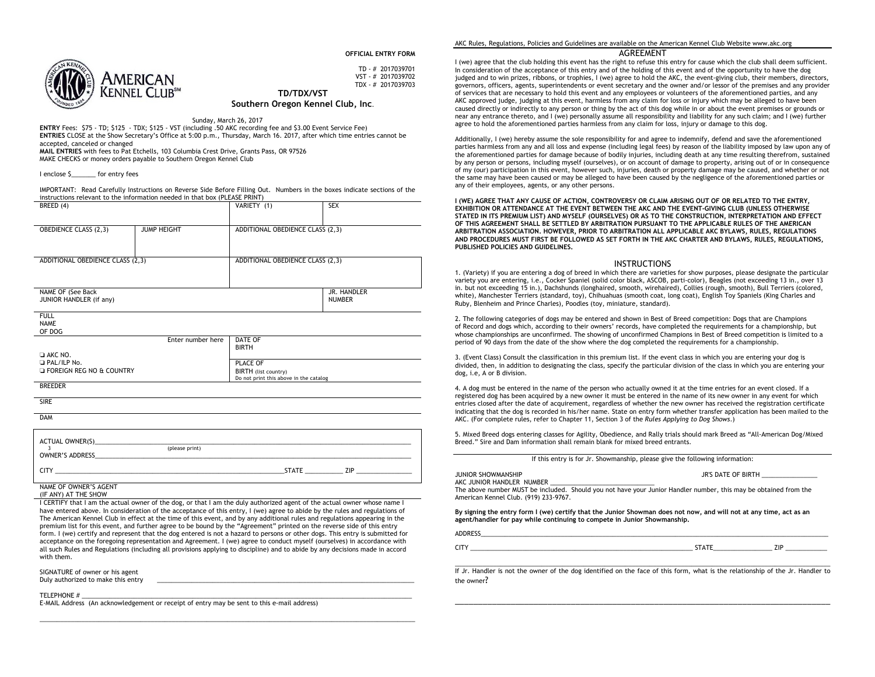**OFFICIAL ENTRY FORM**



TD - # 2017039701 VST - # 2017039702 TDX - # 2017039703

#### **TD/TDX/VST Southern Oregon Kennel Club, Inc**.

Sunday, March 26, 2017 **ENTRY** Fees: \$75 - TD; \$125 - TDX; \$125 - VST (including .50 AKC recording fee and \$3.00 Event Service Fee) **ENTRIES** CLOSE at the Show Secretary's Office at 5:00 p.m., Thursday, March 16. 2017, after which time entries cannot be accepted, canceled or changed **MAIL ENTRIES** with fees to Pat Etchells, 103 Columbia Crest Drive, Grants Pass, OR 97526

MAKE CHECKS or money orders payable to Southern Oregon Kennel Club

I enclose S for entry fees

IMPORTANT: Read Carefully Instructions on Reverse Side Before Filling Out. Numbers in the boxes indicate sections of the instructions relevant to the information needed in that box (PLEASE PRINT)

| BREED (4)                                    |                    | VARIETY (1)                                                           | <b>SEX</b>                   |
|----------------------------------------------|--------------------|-----------------------------------------------------------------------|------------------------------|
| <b>OBEDIENCE CLASS (2,3)</b>                 | <b>JUMP HEIGHT</b> | ADDITIONAL OBEDIENCE CLASS (2,3)                                      |                              |
| ADDITIONAL OBEDIENCE CLASS (2,3)             |                    | ADDITIONAL OBEDIENCE CLASS (2,3)                                      |                              |
| NAME OF (See Back<br>JUNIOR HANDLER (if any) |                    |                                                                       | JR. HANDLER<br><b>NUMBER</b> |
| <b>FULL</b><br><b>NAME</b><br>OF DOG         |                    |                                                                       |                              |
|                                              | Enter number here  | DATE OF<br><b>BIRTH</b>                                               |                              |
| $\Box$ AKC NO.                               |                    |                                                                       |                              |
| <b>D</b> PAL/ILP No.                         |                    | PLACE OF                                                              |                              |
| <b>E FOREIGN REG NO &amp; COUNTRY</b>        |                    | <b>BIRTH</b> (list country)<br>Do not print this above in the catalog |                              |
| <b>BREEDER</b>                               |                    |                                                                       |                              |
| <b>SIRE</b>                                  |                    |                                                                       |                              |
| <b>DAM</b>                                   |                    |                                                                       |                              |
|                                              |                    |                                                                       |                              |

| <b>ACTUAL OWNER(S)</b><br><b>OWNER'S ADDRESS</b> | (please print) |              |       |
|--------------------------------------------------|----------------|--------------|-------|
| ◡                                                |                | <b>SIAIL</b> | 7 I P |

# NAME OF OWNER'S AGENT

(IF ANY) AT THE SHOW

I CERTIFY that I am the actual owner of the dog, or that I am the duly authorized agent of the actual owner whose name I have entered above. In consideration of the acceptance of this entry, I (we) agree to abide by the rules and regulations of The American Kennel Club in effect at the time of this event, and by any additional rules and regulations appearing in the premium list for this event, and further agree to be bound by the "Agreement" printed on the reverse side of this entry form. I (we) certify and represent that the dog entered is not a hazard to persons or other dogs. This entry is submitted for acceptance on the foregoing representation and Agreement. I (we) agree to conduct myself (ourselves) in accordance with all such Rules and Regulations (including all provisions applying to discipline) and to abide by any decisions made in accord with them.

\_\_\_\_\_\_\_\_\_\_\_\_\_\_\_\_\_\_\_\_\_\_\_\_\_\_\_\_\_\_\_\_\_\_\_\_\_\_\_\_\_\_\_\_\_\_\_\_\_\_\_\_\_\_\_\_\_\_\_\_\_\_\_\_\_\_\_\_\_\_\_\_\_\_\_\_\_\_\_\_\_\_\_\_\_\_\_\_\_\_\_\_\_\_\_\_\_\_\_\_\_\_\_\_\_\_\_\_

SIGNATURE of owner or his agent Duly authorized to make this entry

TELEPHONE # \_\_\_\_\_\_\_\_\_\_\_\_\_\_\_\_\_\_\_\_\_\_\_\_\_\_\_\_\_\_\_\_\_\_\_\_\_\_\_\_\_\_\_\_\_\_\_\_\_\_\_\_\_\_\_\_\_\_\_\_\_\_\_\_\_\_\_\_\_\_\_\_\_\_\_\_\_\_\_\_\_\_\_\_\_\_\_\_\_\_\_\_\_\_\_

E-MAIL Address (An acknowledgement or receipt of entry may be sent to this e-mail address)

#### AKC Rules, Regulations, Policies and Guidelines are available on the American Kennel Club Website www.akc.org

#### **AGREEMENT**

I (we) agree that the club holding this event has the right to refuse this entry for cause which the club shall deem sufficient. In consideration of the acceptance of this entry and of the holding of this event and of the opportunity to have the dog judged and to win prizes, ribbons, or trophies, I (we) agree to hold the AKC, the event-giving club, their members, directors, governors, officers, agents, superintendents or event secretary and the owner and/or lessor of the premises and any provider of services that are necessary to hold this event and any employees or volunteers of the aforementioned parties, and any AKC approved judge, judging at this event, harmless from any claim for loss or injury which may be alleged to have been caused directly or indirectly to any person or thing by the act of this dog while in or about the event premises or grounds or near any entrance thereto, and I (we) personally assume all responsibility and liability for any such claim; and I (we) further agree to hold the aforementioned parties harmless from any claim for loss, injury or damage to this dog.

Additionally, I (we) hereby assume the sole responsibility for and agree to indemnify, defend and save the aforementioned parties harmless from any and all loss and expense (including legal fees) by reason of the liability imposed by law upon any of the aforementioned parties for damage because of bodily injuries, including death at any time resulting therefrom, sustained by any person or persons, including myself (ourselves), or on account of damage to property, arising out of or in consequence of my (our) participation in this event, however such, injuries, death or property damage may be caused, and whether or not the same may have been caused or may be alleged to have been caused by the negligence of the aforementioned parties or any of their employees, agents, or any other persons.

**I (WE) AGREE THAT ANY CAUSE OF ACTION, CONTROVERSY OR CLAIM ARISING OUT OF OR RELATED TO THE ENTRY, EXHIBITION OR ATTENDANCE AT THE EVENT BETWEEN THE AKC AND THE EVENT-GIVING CLUB (UNLESS OTHERWISE STATED IN ITS PREMIUM LIST) AND MYSELF (OURSELVES) OR AS TO THE CONSTRUCTION, INTERPRETATION AND EFFECT OF THIS AGREEMENT SHALL BE SETTLED BY ARBITRATION PURSUANT TO THE APPLICABLE RULES OF THE AMERICAN ARBITRATION ASSOCIATION. HOWEVER, PRIOR TO ARBITRATION ALL APPLICABLE AKC BYLAWS, RULES, REGULATIONS AND PROCEDURES MUST FIRST BE FOLLOWED AS SET FORTH IN THE AKC CHARTER AND BYLAWS, RULES, REGULATIONS, PUBLISHED POLICIES AND GUIDELINES.** 

#### INSTRUCTIONS

1. (Variety) if you are entering a dog of breed in which there are varieties for show purposes, please designate the particular variety you are entering, i.e., Cocker Spaniel (solid color black, ASCOB, parti-color), Beagles (not exceeding 13 in., over 13 in. but not exceeding 15 in.), Dachshunds (longhaired, smooth, wirehaired), Collies (rough, smooth), Bull Terriers (colored, white), Manchester Terriers (standard, toy), Chihuahuas (smooth coat, long coat), English Toy Spaniels (King Charles and Ruby, Blenheim and Prince Charles), Poodles (toy, miniature, standard).

2. The following categories of dogs may be entered and shown in Best of Breed competition: Dogs that are Champions of Record and dogs which, according to their owners' records, have completed the requirements for a championship, but whose championships are unconfirmed. The showing of unconfirmed Champions in Best of Breed competition is limited to a period of 90 days from the date of the show where the dog completed the requirements for a championship.

3. (Event Class) Consult the classification in this premium list. If the event class in which you are entering your dog is divided, then, in addition to designating the class, specify the particular division of the class in which you are entering your dog, i.e, A or B division.

4. A dog must be entered in the name of the person who actually owned it at the time entries for an event closed. If a registered dog has been acquired by a new owner it must be entered in the name of its new owner in any event for which entries closed after the date of acquirement, regardless of whether the new owner has received the registration certificate indicating that the dog is recorded in his/her name. State on entry form whether transfer application has been mailed to the AKC. (For complete rules, refer to Chapter 11, Section 3 of the *Rules Applying to Dog Shows*.)

5. Mixed Breed dogs entering classes for Agility, Obedience, and Rally trials should mark Breed as "All-American Dog/Mixed Breed." Sire and Dam information shall remain blank for mixed breed entrants.

If this entry is for Jr. Showmanship, please give the following information:

JUNIOR SHOWMANSHIP JANUAL SERIES OF BIRTH JRYS DATE OF BIRTH JRYS DATE OF BIRTH JRYS DATE OF BIRTH JRYS DATE OF BIRTH AKC JUNIOR HANDLER NUMBER

The above number MUST be included. Should you not have your Junior Handler number, this may be obtained from the American Kennel Club. (919) 233-9767.

**By signing the entry form I (we) certify that the Junior Showman does not now, and will not at any time, act as an agent/handler for pay while continuing to compete in Junior Showmanship.** 

ADDRESS\_\_\_\_\_\_\_\_\_\_\_\_\_\_\_\_\_\_\_\_\_\_\_\_\_\_\_\_\_\_\_\_\_\_\_\_\_\_\_\_\_\_\_\_\_\_\_\_\_\_\_\_\_\_\_\_\_\_\_\_\_\_\_\_\_\_\_\_\_\_\_\_\_\_\_\_\_\_\_\_\_\_\_\_\_\_\_\_\_\_\_\_\_\_\_\_\_\_\_\_

| $-1$<br>u۱. | 7 I F<br>- |
|-------------|------------|

\_\_\_\_\_\_\_\_\_\_\_\_\_\_\_\_\_\_\_\_\_\_\_\_\_\_\_\_\_\_\_\_\_\_\_\_\_\_\_\_\_\_\_\_\_\_\_\_\_\_\_\_\_\_\_\_\_\_\_\_\_\_\_\_\_\_\_\_\_\_\_\_\_\_\_\_\_\_\_\_\_\_\_\_\_\_\_\_\_\_\_\_\_\_\_\_\_\_\_\_\_\_\_\_\_\_\_\_ If Jr. Handler is not the owner of the dog identified on the face of this form, what is the relationship of the Jr. Handler to the owner?

\_\_\_\_\_\_\_\_\_\_\_\_\_\_\_\_\_\_\_\_\_\_\_\_\_\_\_\_\_\_\_\_\_\_\_\_\_\_\_\_\_\_\_\_\_\_\_\_\_\_\_\_\_\_\_\_\_\_\_\_\_\_\_\_\_\_\_\_\_\_\_\_\_\_\_\_\_\_\_\_\_